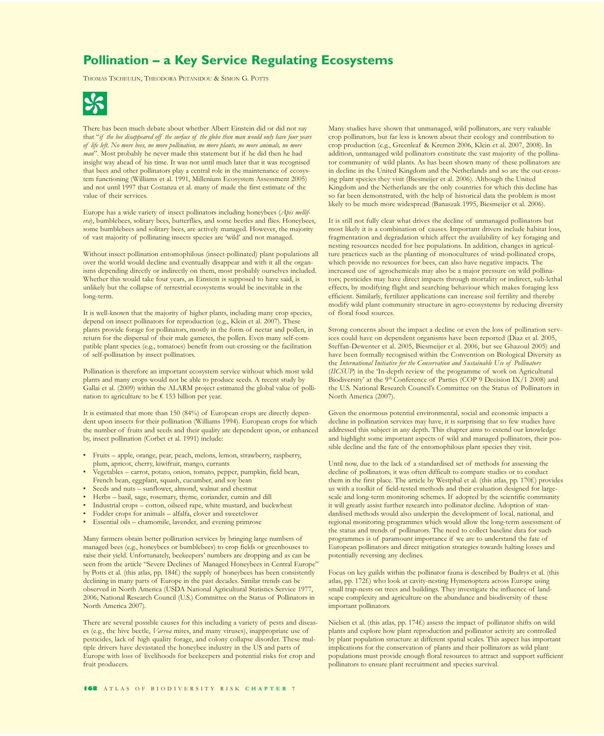## **Pollination – a Key Service Regulating Ecosystems**

THOMAS TSCHEULIN, THEODORA PETANIDOU & SIMON G. POTTS



There has been much debate about whether Albert Einstein did or did not say that "*if the bee disappeared off the surface of the globe then man would only have four years of life left. No more bees, no more pollination, no more plants, no more animals, no more man*". Most probably he never made this statement but if he did then he had insight way ahead of his time. It was not until much later that it was recognised that bees and other pollinators play a central role in the maintenance of ecosystem functioning (Williams et al. 1991, Millenium Ecosystem Assessment 2005) and not until 1997 that Costanza et al. many of made the first estimate of the value of their services.

Europe has a wide variety of insect pollinators including honeybees (*Apis mellifera*), bumblebees, solitary bees, butterflies, and some beetles and flies. Honeybees, some bumblebees and solitary bees, are actively managed. However, the majority of vast majority of pollinating insects species are 'wild' and not managed.

Without insect pollination entomophilous (insect-pollinated) plant populations all over the world would decline and eventually disappear and with it all the organisms depending directly or indirectly on them, most probably ourselves included. Whether this would take four years, as Einstein is supposed to have said, is unlikely but the collapse of terrestrial ecosystems would be inevitable in the long-term.

It is well-known that the majority of higher plants, including many crop species, depend on insect pollinators for reproduction (e.g., Klein et al. 2007). These plants provide forage for pollinators, mostly in the form of nectar and pollen, in return for the dispersal of their male gametes, the pollen. Even many self-compatible plant species (e.g., tomatoes) benefit from out-crossing or the facilitation of self-pollination by insect pollinators.

Pollination is therefore an important ecosystem service without which most wild plants and many crops would not be able to produce seeds. A recent study by Gallai et al. (2009) within the ALARM project estimated the global value of pollination to agriculture to be  $\epsilon$  153 billion per year.

It is estimated that more than 150 (84%) of European crops are directly dependent upon insects for their pollination (Williams 1994). European crops for which the number of fruits and seeds and their quality are dependent upon, or enhanced by, insect pollination (Corbet et al. 1991) include:

- Fruits apple, orange, pear, peach, melons, lemon, strawberry, raspberry, plum, apricot, cherry, kiwifruit, mango, currants
- Vegetables carrot, potato, onion, tomato, pepper, pumpkin, field bean, French bean, eggplant, squash, cucumber, and soy bean
- Seeds and nuts sunflower, almond, walnut and chestnut
- Herbs basil, sage, rosemary, thyme, coriander, cumin and dill
- Industrial crops cotton, oilseed rape, white mustard, and buckwheat
- Fodder crops for animals alfalfa, clover and sweetclover
- Essential oils chamomile, lavender, and evening primrose

Many farmers obtain better pollination services by bringing large numbers of managed bees (e.g., honeybees or bumblebees) to crop fields or greenhouses to raise their yield. Unfortunately, beekeepers' numbers are dropping and as can be seen from the article "Severe Declines of Managed Honeybees in Central Europe" by Potts et al. (this atlas, pp. 184f.) the supply of honeybees has been consistently declining in many parts of Europe in the past decades. Similar trends can be observed in North America (USDA National Agricultural Statistics Service 1977, 2006; National Research Council (U.S.) Committee on the Status of Pollinators in North America 2007).

There are several possible causes for this including a variety of pests and diseases (e.g., the hive beetle, *Varroa* mites, and many viruses), inappropriate use of pesticides, lack of high quality forage, and colony collapse disorder. These multiple drivers have devastated the honeybee industry in the US and parts of Europe with loss of livelihoods for beekeepers and potential risks for crop and fruit producers.

Many studies have shown that unmanaged, wild pollinators, are very valuable crop pollinators, but far less is known about their ecology and contribution to crop production (e.g., Greenleaf & Kremen 2006, Klein et al. 2007, 2008). In addition, unmanaged wild pollinators constitute the vast majority of the pollinator community of wild plants. As has been shown many of these pollinators are in decline in the United Kingdom and the Netherlands and so are the out-crossing plant species they visit (Biesmeijer et al. 2006). Although the United Kingdom and the Netherlands are the only countries for which this decline has so far been demonstrated, with the help of historical data the problem is most likely to be much more widespread (Banaszak 1995, Biesmeijer et al. 2006).

It is still not fully clear what drives the decline of unmanaged pollinators but most likely it is a combination of causes. Important drivers include habitat loss, fragmentation and degradation which affect the availability of key foraging and nesting resources needed for bee populations. In addition, changes in agriculture practices such as the planting of monocultures of wind-pollinated crops, which provide no resources for bees, can also have negative impacts. The increased use of agrochemicals may also be a major pressure on wild pollinators; pesticides may have direct impacts through mortality or indirect, sub-lethal effects, by modifying flight and searching behaviour which makes foraging less efficient. Similarly, fertilizer applications can increase soil fertility and thereby modify wild plant community structure in agro-ecosystems by reducing diversity of floral food sources.

Strong concerns about the impact a decline or even the loss of pollination services could have on dependent organisms have been reported (Diaz et al. 2005, Steffan-Dewenter et al. 2005, Biesmeijer et al. 2006, but see Ghazoul 2005) and have been formally recognised within the Convention on Biological Diversity as the *International Initiative for the Conservation and Sustainable Use of Pollinators*  (*IICSUP*) in the 'In-depth review of the programme of work on Agricultural Biodiversity' at the 9<sup>th</sup> Conference of Parties (COP 9 Decision IX/1 2008) and the U.S. National Research Council's Committee on the Status of Pollinators in North America (2007).

Given the enormous potential environmental, social and economic impacts a decline in pollination services may have, it is surprising that so few studies have addressed this subject in any depth. This chapter aims to extend our knowledge and highlight some important aspects of wild and managed pollinators, their possible decline and the fate of the entomophilous plant species they visit.

Until now, due to the lack of a standardised set of methods for assessing the decline of pollinators, it was often difficult to compare studies or to conduct them in the first place. The article by Westphal et al. (this atlas, pp. 170f.) provides us with a toolkit of field-tested methods and their evaluation designed for largescale and long-term monitoring schemes. If adopted by the scientific community it will greatly assist further research into pollinator decline. Adoption of standardised methods would also underpin the development of local, national, and regional monitoring programmes which would allow the long-term assessment of the status and trends of pollinators. The need to collect baseline data for such programmes is of paramount importance if we are to understand the fate of European pollinators and direct mitigation strategies towards halting losses and potentially reversing any declines.

Focus on key guilds within the pollinator fauna is described by Budrys et al. (this atlas, pp. 172f.) who look at cavity-nesting Hymenoptera across Europe using small trap-nests on trees and buildings. They investigate the influence of landscape complexity and agriculture on the abundance and biodiversity of these important pollinators.

Nielsen et al. (this atlas, pp. 174f.) assess the impact of pollinator shifts on wild plants and explore how plant reproduction and pollinator activity are controlled by plant population structure at different spatial scales. This aspect has important implications for the conservation of plants and their pollinators as wild plant populations must provide enough floral resources to attract and support sufficient pollinators to ensure plant recruitment and species survival.